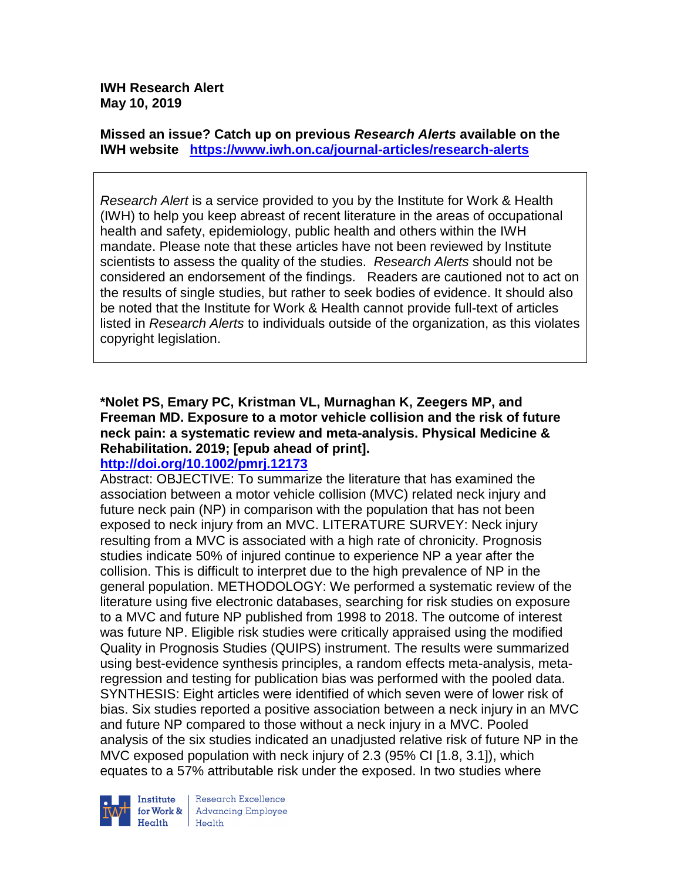**IWH Research Alert May 10, 2019**

**Missed an issue? Catch up on previous** *Research Alerts* **available on the [IWH website](http://www.iwh.on.ca/research-alerts) <https://www.iwh.on.ca/journal-articles/research-alerts>**

*Research Alert* is a service provided to you by the Institute for Work & Health (IWH) to help you keep abreast of recent literature in the areas of occupational health and safety, epidemiology, public health and others within the IWH mandate. Please note that these articles have not been reviewed by Institute scientists to assess the quality of the studies. *Research Alerts* should not be considered an endorsement of the findings. Readers are cautioned not to act on the results of single studies, but rather to seek bodies of evidence. It should also be noted that the Institute for Work & Health cannot provide full-text of articles listed in *Research Alerts* to individuals outside of the organization, as this violates copyright legislation.

# **\*Nolet PS, Emary PC, Kristman VL, Murnaghan K, Zeegers MP, and Freeman MD. Exposure to a motor vehicle collision and the risk of future neck pain: a systematic review and meta-analysis. Physical Medicine & Rehabilitation. 2019; [epub ahead of print].**

## **<http://doi.org/10.1002/pmrj.12173>**

Abstract: OBJECTIVE: To summarize the literature that has examined the association between a motor vehicle collision (MVC) related neck injury and future neck pain (NP) in comparison with the population that has not been exposed to neck injury from an MVC. LITERATURE SURVEY: Neck injury resulting from a MVC is associated with a high rate of chronicity. Prognosis studies indicate 50% of injured continue to experience NP a year after the collision. This is difficult to interpret due to the high prevalence of NP in the general population. METHODOLOGY: We performed a systematic review of the literature using five electronic databases, searching for risk studies on exposure to a MVC and future NP published from 1998 to 2018. The outcome of interest was future NP. Eligible risk studies were critically appraised using the modified Quality in Prognosis Studies (QUIPS) instrument. The results were summarized using best-evidence synthesis principles, a random effects meta-analysis, metaregression and testing for publication bias was performed with the pooled data. SYNTHESIS: Eight articles were identified of which seven were of lower risk of bias. Six studies reported a positive association between a neck injury in an MVC and future NP compared to those without a neck injury in a MVC. Pooled analysis of the six studies indicated an unadjusted relative risk of future NP in the MVC exposed population with neck injury of 2.3 (95% CI [1.8, 3.1]), which equates to a 57% attributable risk under the exposed. In two studies where



Research Excellence for Work & | Advancing Employee Health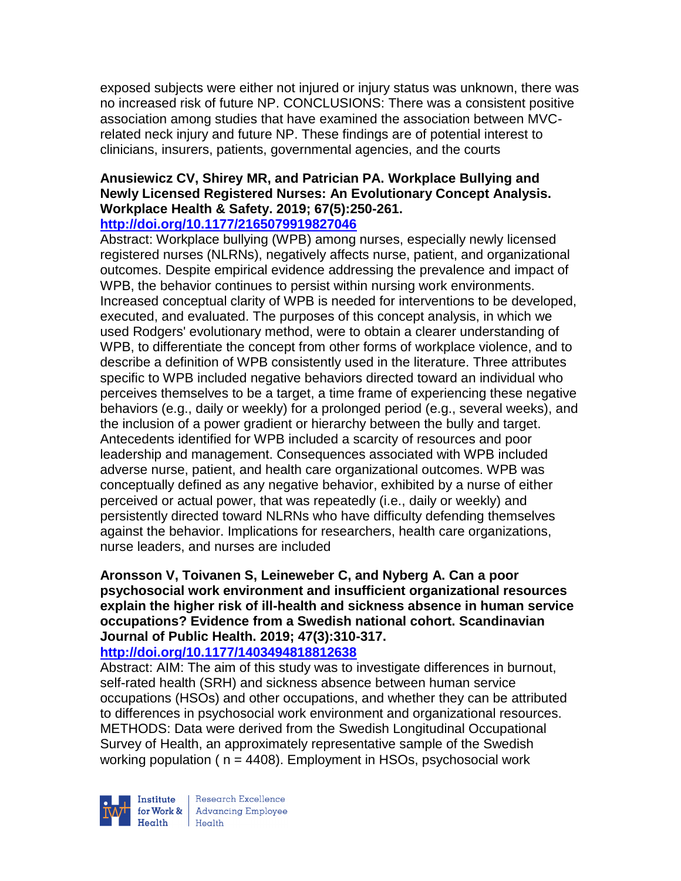exposed subjects were either not injured or injury status was unknown, there was no increased risk of future NP. CONCLUSIONS: There was a consistent positive association among studies that have examined the association between MVCrelated neck injury and future NP. These findings are of potential interest to clinicians, insurers, patients, governmental agencies, and the courts

#### **Anusiewicz CV, Shirey MR, and Patrician PA. Workplace Bullying and Newly Licensed Registered Nurses: An Evolutionary Concept Analysis. Workplace Health & Safety. 2019; 67(5):250-261. <http://doi.org/10.1177/2165079919827046>**

Abstract: Workplace bullying (WPB) among nurses, especially newly licensed registered nurses (NLRNs), negatively affects nurse, patient, and organizational outcomes. Despite empirical evidence addressing the prevalence and impact of WPB, the behavior continues to persist within nursing work environments. Increased conceptual clarity of WPB is needed for interventions to be developed, executed, and evaluated. The purposes of this concept analysis, in which we used Rodgers' evolutionary method, were to obtain a clearer understanding of WPB, to differentiate the concept from other forms of workplace violence, and to describe a definition of WPB consistently used in the literature. Three attributes specific to WPB included negative behaviors directed toward an individual who perceives themselves to be a target, a time frame of experiencing these negative behaviors (e.g., daily or weekly) for a prolonged period (e.g., several weeks), and the inclusion of a power gradient or hierarchy between the bully and target. Antecedents identified for WPB included a scarcity of resources and poor leadership and management. Consequences associated with WPB included adverse nurse, patient, and health care organizational outcomes. WPB was conceptually defined as any negative behavior, exhibited by a nurse of either perceived or actual power, that was repeatedly (i.e., daily or weekly) and persistently directed toward NLRNs who have difficulty defending themselves against the behavior. Implications for researchers, health care organizations, nurse leaders, and nurses are included

# **Aronsson V, Toivanen S, Leineweber C, and Nyberg A. Can a poor psychosocial work environment and insufficient organizational resources explain the higher risk of ill-health and sickness absence in human service occupations? Evidence from a Swedish national cohort. Scandinavian Journal of Public Health. 2019; 47(3):310-317.**

## **<http://doi.org/10.1177/1403494818812638>**

Abstract: AIM: The aim of this study was to investigate differences in burnout, self-rated health (SRH) and sickness absence between human service occupations (HSOs) and other occupations, and whether they can be attributed to differences in psychosocial work environment and organizational resources. METHODS: Data were derived from the Swedish Longitudinal Occupational Survey of Health, an approximately representative sample of the Swedish working population ( $n = 4408$ ). Employment in HSOs, psychosocial work



Research Excellence for Work & Advancing Employee  $H_{\text{eath}}$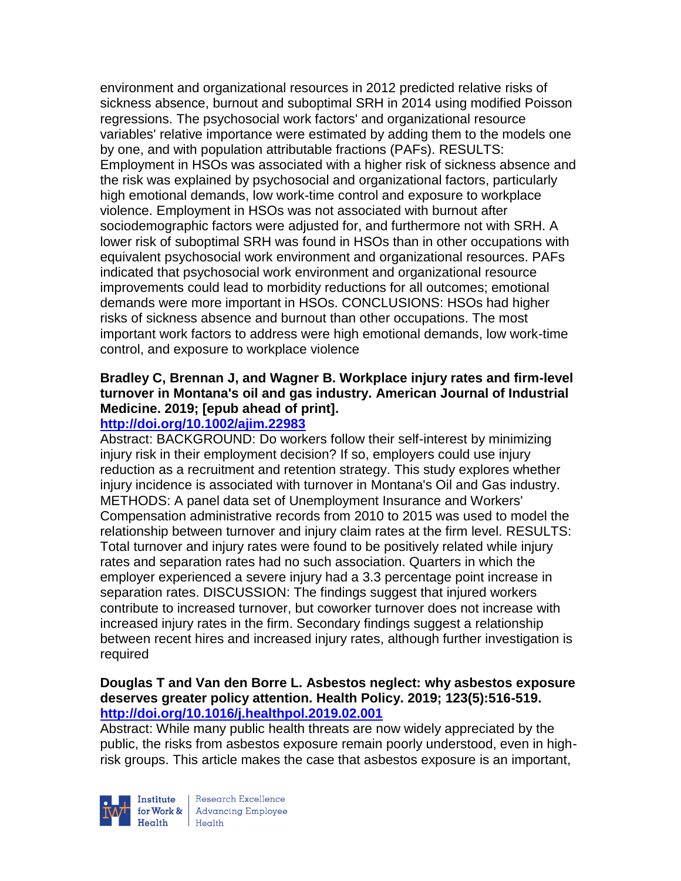environment and organizational resources in 2012 predicted relative risks of sickness absence, burnout and suboptimal SRH in 2014 using modified Poisson regressions. The psychosocial work factors' and organizational resource variables' relative importance were estimated by adding them to the models one by one, and with population attributable fractions (PAFs). RESULTS: Employment in HSOs was associated with a higher risk of sickness absence and the risk was explained by psychosocial and organizational factors, particularly high emotional demands, low work-time control and exposure to workplace violence. Employment in HSOs was not associated with burnout after sociodemographic factors were adjusted for, and furthermore not with SRH. A lower risk of suboptimal SRH was found in HSOs than in other occupations with equivalent psychosocial work environment and organizational resources. PAFs indicated that psychosocial work environment and organizational resource improvements could lead to morbidity reductions for all outcomes; emotional demands were more important in HSOs. CONCLUSIONS: HSOs had higher risks of sickness absence and burnout than other occupations. The most important work factors to address were high emotional demands, low work-time control, and exposure to workplace violence

# **Bradley C, Brennan J, and Wagner B. Workplace injury rates and firm-level turnover in Montana's oil and gas industry. American Journal of Industrial Medicine. 2019; [epub ahead of print].**

## **<http://doi.org/10.1002/ajim.22983>**

Abstract: BACKGROUND: Do workers follow their self-interest by minimizing injury risk in their employment decision? If so, employers could use injury reduction as a recruitment and retention strategy. This study explores whether injury incidence is associated with turnover in Montana's Oil and Gas industry. METHODS: A panel data set of Unemployment Insurance and Workers' Compensation administrative records from 2010 to 2015 was used to model the relationship between turnover and injury claim rates at the firm level. RESULTS: Total turnover and injury rates were found to be positively related while injury rates and separation rates had no such association. Quarters in which the employer experienced a severe injury had a 3.3 percentage point increase in separation rates. DISCUSSION: The findings suggest that injured workers contribute to increased turnover, but coworker turnover does not increase with increased injury rates in the firm. Secondary findings suggest a relationship between recent hires and increased injury rates, although further investigation is required

## **Douglas T and Van den Borre L. Asbestos neglect: why asbestos exposure deserves greater policy attention. Health Policy. 2019; 123(5):516-519. <http://doi.org/10.1016/j.healthpol.2019.02.001>**

Abstract: While many public health threats are now widely appreciated by the public, the risks from asbestos exposure remain poorly understood, even in highrisk groups. This article makes the case that asbestos exposure is an important,



Research Excellence **Institute** Research Excellence<br> **For Work &**<br>
Morth Harlth Harlth  $H_{\text{eath}}$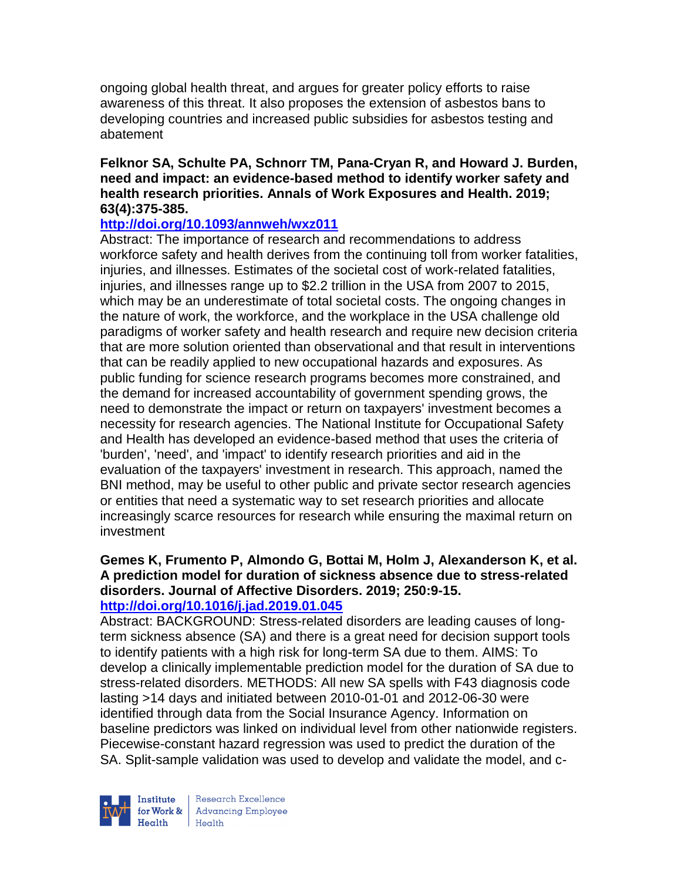ongoing global health threat, and argues for greater policy efforts to raise awareness of this threat. It also proposes the extension of asbestos bans to developing countries and increased public subsidies for asbestos testing and abatement

### **Felknor SA, Schulte PA, Schnorr TM, Pana-Cryan R, and Howard J. Burden, need and impact: an evidence-based method to identify worker safety and health research priorities. Annals of Work Exposures and Health. 2019; 63(4):375-385.**

## **<http://doi.org/10.1093/annweh/wxz011>**

Abstract: The importance of research and recommendations to address workforce safety and health derives from the continuing toll from worker fatalities, injuries, and illnesses. Estimates of the societal cost of work-related fatalities, injuries, and illnesses range up to \$2.2 trillion in the USA from 2007 to 2015, which may be an underestimate of total societal costs. The ongoing changes in the nature of work, the workforce, and the workplace in the USA challenge old paradigms of worker safety and health research and require new decision criteria that are more solution oriented than observational and that result in interventions that can be readily applied to new occupational hazards and exposures. As public funding for science research programs becomes more constrained, and the demand for increased accountability of government spending grows, the need to demonstrate the impact or return on taxpayers' investment becomes a necessity for research agencies. The National Institute for Occupational Safety and Health has developed an evidence-based method that uses the criteria of 'burden', 'need', and 'impact' to identify research priorities and aid in the evaluation of the taxpayers' investment in research. This approach, named the BNI method, may be useful to other public and private sector research agencies or entities that need a systematic way to set research priorities and allocate increasingly scarce resources for research while ensuring the maximal return on investment

#### **Gemes K, Frumento P, Almondo G, Bottai M, Holm J, Alexanderson K, et al. A prediction model for duration of sickness absence due to stress-related disorders. Journal of Affective Disorders. 2019; 250:9-15. <http://doi.org/10.1016/j.jad.2019.01.045>**

Abstract: BACKGROUND: Stress-related disorders are leading causes of longterm sickness absence (SA) and there is a great need for decision support tools to identify patients with a high risk for long-term SA due to them. AIMS: To develop a clinically implementable prediction model for the duration of SA due to stress-related disorders. METHODS: All new SA spells with F43 diagnosis code lasting >14 days and initiated between 2010-01-01 and 2012-06-30 were identified through data from the Social Insurance Agency. Information on baseline predictors was linked on individual level from other nationwide registers. Piecewise-constant hazard regression was used to predict the duration of the SA. Split-sample validation was used to develop and validate the model, and c-



Research Excellence for Work & | Advancing Employee  $H_{\text{eath}}$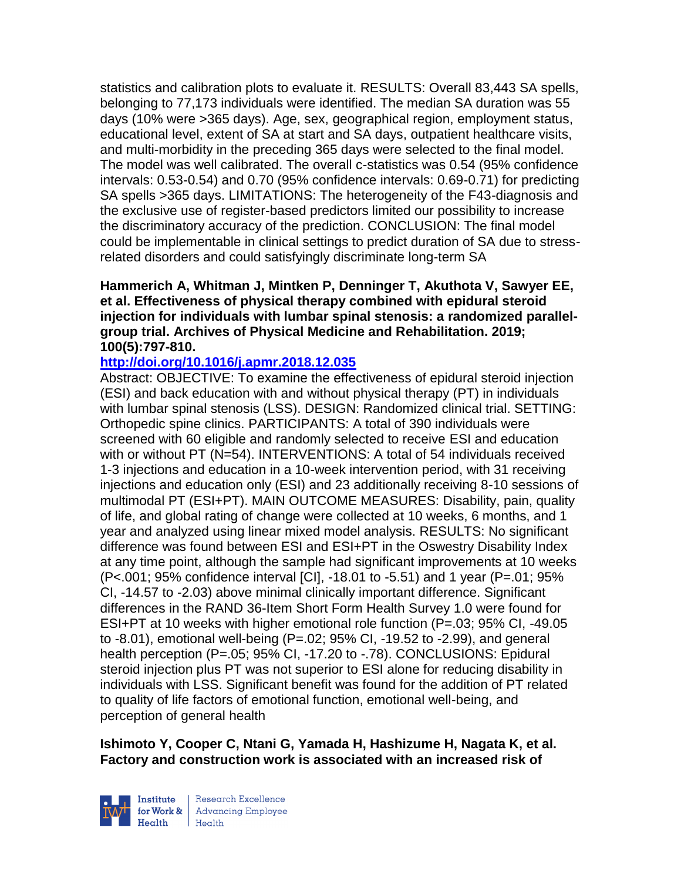statistics and calibration plots to evaluate it. RESULTS: Overall 83,443 SA spells, belonging to 77,173 individuals were identified. The median SA duration was 55 days (10% were >365 days). Age, sex, geographical region, employment status, educational level, extent of SA at start and SA days, outpatient healthcare visits, and multi-morbidity in the preceding 365 days were selected to the final model. The model was well calibrated. The overall c-statistics was 0.54 (95% confidence intervals: 0.53-0.54) and 0.70 (95% confidence intervals: 0.69-0.71) for predicting SA spells >365 days. LIMITATIONS: The heterogeneity of the F43-diagnosis and the exclusive use of register-based predictors limited our possibility to increase the discriminatory accuracy of the prediction. CONCLUSION: The final model could be implementable in clinical settings to predict duration of SA due to stressrelated disorders and could satisfyingly discriminate long-term SA

### **Hammerich A, Whitman J, Mintken P, Denninger T, Akuthota V, Sawyer EE, et al. Effectiveness of physical therapy combined with epidural steroid injection for individuals with lumbar spinal stenosis: a randomized parallelgroup trial. Archives of Physical Medicine and Rehabilitation. 2019; 100(5):797-810.**

## **<http://doi.org/10.1016/j.apmr.2018.12.035>**

Abstract: OBJECTIVE: To examine the effectiveness of epidural steroid injection (ESI) and back education with and without physical therapy (PT) in individuals with lumbar spinal stenosis (LSS). DESIGN: Randomized clinical trial. SETTING: Orthopedic spine clinics. PARTICIPANTS: A total of 390 individuals were screened with 60 eligible and randomly selected to receive ESI and education with or without PT (N=54). INTERVENTIONS: A total of 54 individuals received 1-3 injections and education in a 10-week intervention period, with 31 receiving injections and education only (ESI) and 23 additionally receiving 8-10 sessions of multimodal PT (ESI+PT). MAIN OUTCOME MEASURES: Disability, pain, quality of life, and global rating of change were collected at 10 weeks, 6 months, and 1 year and analyzed using linear mixed model analysis. RESULTS: No significant difference was found between ESI and ESI+PT in the Oswestry Disability Index at any time point, although the sample had significant improvements at 10 weeks (P<.001; 95% confidence interval [CI], -18.01 to -5.51) and 1 year (P=.01; 95% CI, -14.57 to -2.03) above minimal clinically important difference. Significant differences in the RAND 36-Item Short Form Health Survey 1.0 were found for ESI+PT at 10 weeks with higher emotional role function (P=.03; 95% CI, -49.05 to  $-8.01$ ), emotional well-being (P=.02; 95% CI,  $-19.52$  to  $-2.99$ ), and general health perception (P=.05; 95% CI, -17.20 to -.78). CONCLUSIONS: Epidural steroid injection plus PT was not superior to ESI alone for reducing disability in individuals with LSS. Significant benefit was found for the addition of PT related to quality of life factors of emotional function, emotional well-being, and perception of general health

## **Ishimoto Y, Cooper C, Ntani G, Yamada H, Hashizume H, Nagata K, et al. Factory and construction work is associated with an increased risk of**



Research Excellence **Advancing Employee**  $H_{\text{each}}$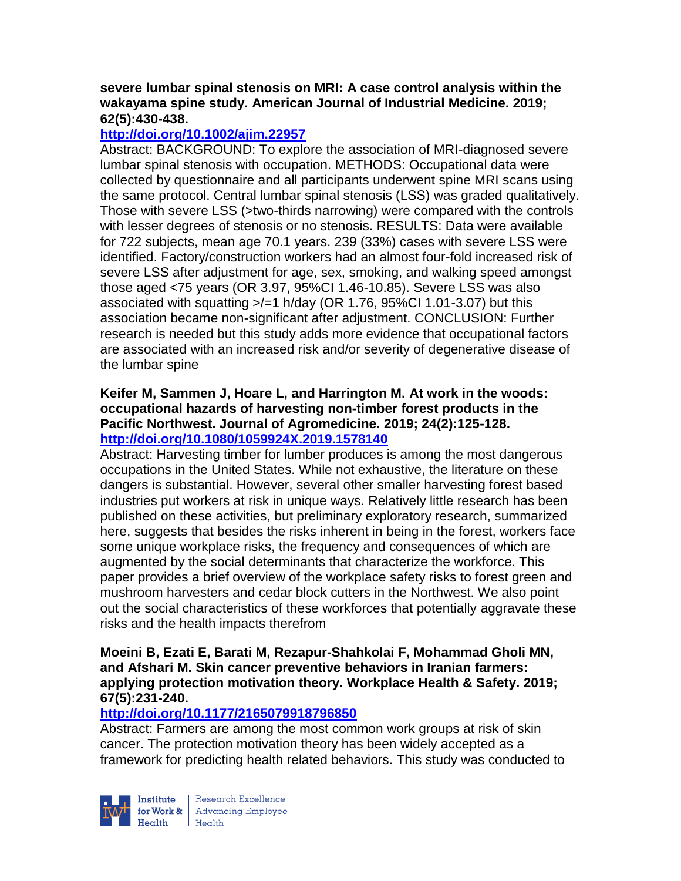#### **severe lumbar spinal stenosis on MRI: A case control analysis within the wakayama spine study. American Journal of Industrial Medicine. 2019; 62(5):430-438.**

# **<http://doi.org/10.1002/ajim.22957>**

Abstract: BACKGROUND: To explore the association of MRI-diagnosed severe lumbar spinal stenosis with occupation. METHODS: Occupational data were collected by questionnaire and all participants underwent spine MRI scans using the same protocol. Central lumbar spinal stenosis (LSS) was graded qualitatively. Those with severe LSS (>two-thirds narrowing) were compared with the controls with lesser degrees of stenosis or no stenosis. RESULTS: Data were available for 722 subjects, mean age 70.1 years. 239 (33%) cases with severe LSS were identified. Factory/construction workers had an almost four-fold increased risk of severe LSS after adjustment for age, sex, smoking, and walking speed amongst those aged <75 years (OR 3.97, 95%CI 1.46-10.85). Severe LSS was also associated with squatting  $\frac{1}{10}$  h/day (OR 1.76, 95%Cl 1.01-3.07) but this association became non-significant after adjustment. CONCLUSION: Further research is needed but this study adds more evidence that occupational factors are associated with an increased risk and/or severity of degenerative disease of the lumbar spine

## **Keifer M, Sammen J, Hoare L, and Harrington M. At work in the woods: occupational hazards of harvesting non-timber forest products in the Pacific Northwest. Journal of Agromedicine. 2019; 24(2):125-128. <http://doi.org/10.1080/1059924X.2019.1578140>**

Abstract: Harvesting timber for lumber produces is among the most dangerous occupations in the United States. While not exhaustive, the literature on these dangers is substantial. However, several other smaller harvesting forest based industries put workers at risk in unique ways. Relatively little research has been published on these activities, but preliminary exploratory research, summarized here, suggests that besides the risks inherent in being in the forest, workers face some unique workplace risks, the frequency and consequences of which are augmented by the social determinants that characterize the workforce. This paper provides a brief overview of the workplace safety risks to forest green and mushroom harvesters and cedar block cutters in the Northwest. We also point out the social characteristics of these workforces that potentially aggravate these risks and the health impacts therefrom

## **Moeini B, Ezati E, Barati M, Rezapur-Shahkolai F, Mohammad Gholi MN, and Afshari M. Skin cancer preventive behaviors in Iranian farmers: applying protection motivation theory. Workplace Health & Safety. 2019; 67(5):231-240.**

# **<http://doi.org/10.1177/2165079918796850>**

Abstract: Farmers are among the most common work groups at risk of skin cancer. The protection motivation theory has been widely accepted as a framework for predicting health related behaviors. This study was conducted to



Research Excellence for Work & Advancing Employee<br>Health Health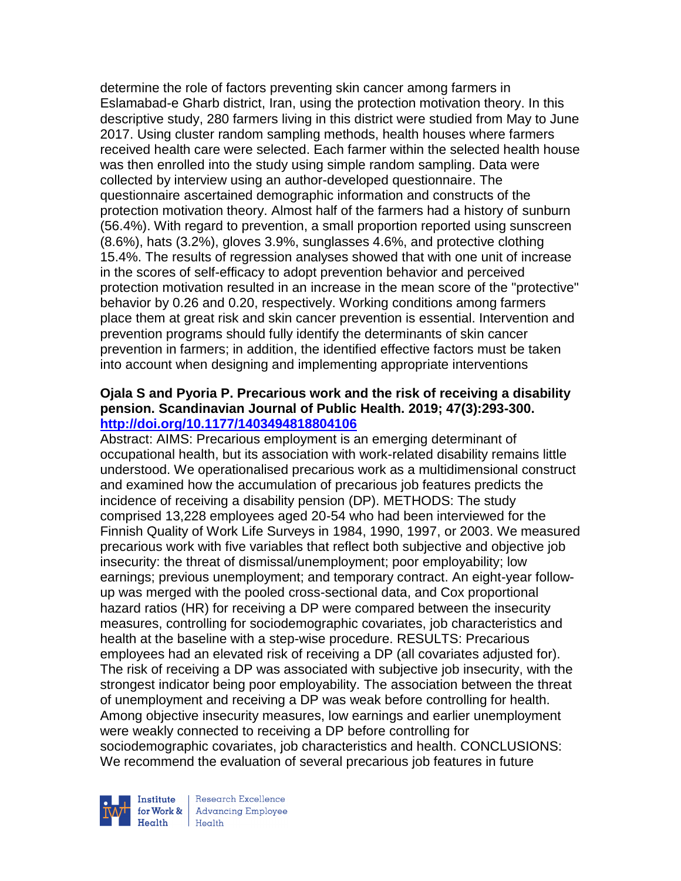determine the role of factors preventing skin cancer among farmers in Eslamabad-e Gharb district, Iran, using the protection motivation theory. In this descriptive study, 280 farmers living in this district were studied from May to June 2017. Using cluster random sampling methods, health houses where farmers received health care were selected. Each farmer within the selected health house was then enrolled into the study using simple random sampling. Data were collected by interview using an author-developed questionnaire. The questionnaire ascertained demographic information and constructs of the protection motivation theory. Almost half of the farmers had a history of sunburn (56.4%). With regard to prevention, a small proportion reported using sunscreen (8.6%), hats (3.2%), gloves 3.9%, sunglasses 4.6%, and protective clothing 15.4%. The results of regression analyses showed that with one unit of increase in the scores of self-efficacy to adopt prevention behavior and perceived protection motivation resulted in an increase in the mean score of the "protective" behavior by 0.26 and 0.20, respectively. Working conditions among farmers place them at great risk and skin cancer prevention is essential. Intervention and prevention programs should fully identify the determinants of skin cancer prevention in farmers; in addition, the identified effective factors must be taken into account when designing and implementing appropriate interventions

## **Ojala S and Pyoria P. Precarious work and the risk of receiving a disability pension. Scandinavian Journal of Public Health. 2019; 47(3):293-300. <http://doi.org/10.1177/1403494818804106>**

Abstract: AIMS: Precarious employment is an emerging determinant of occupational health, but its association with work-related disability remains little understood. We operationalised precarious work as a multidimensional construct and examined how the accumulation of precarious job features predicts the incidence of receiving a disability pension (DP). METHODS: The study comprised 13,228 employees aged 20-54 who had been interviewed for the Finnish Quality of Work Life Surveys in 1984, 1990, 1997, or 2003. We measured precarious work with five variables that reflect both subjective and objective job insecurity: the threat of dismissal/unemployment; poor employability; low earnings; previous unemployment; and temporary contract. An eight-year followup was merged with the pooled cross-sectional data, and Cox proportional hazard ratios (HR) for receiving a DP were compared between the insecurity measures, controlling for sociodemographic covariates, job characteristics and health at the baseline with a step-wise procedure. RESULTS: Precarious employees had an elevated risk of receiving a DP (all covariates adjusted for). The risk of receiving a DP was associated with subjective job insecurity, with the strongest indicator being poor employability. The association between the threat of unemployment and receiving a DP was weak before controlling for health. Among objective insecurity measures, low earnings and earlier unemployment were weakly connected to receiving a DP before controlling for sociodemographic covariates, job characteristics and health. CONCLUSIONS: We recommend the evaluation of several precarious job features in future



Research Excellence for Work & | Advancing Employee  $H_{\text{eath}}$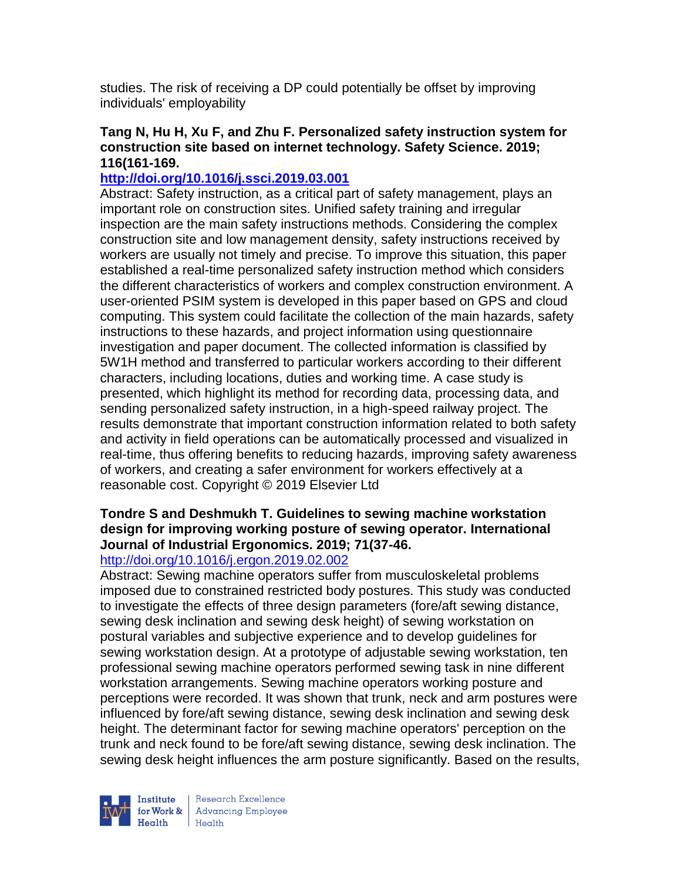studies. The risk of receiving a DP could potentially be offset by improving individuals' employability

## **Tang N, Hu H, Xu F, and Zhu F. Personalized safety instruction system for construction site based on internet technology. Safety Science. 2019; 116(161-169.**

# **<http://doi.org/10.1016/j.ssci.2019.03.001>**

Abstract: Safety instruction, as a critical part of safety management, plays an important role on construction sites. Unified safety training and irregular inspection are the main safety instructions methods. Considering the complex construction site and low management density, safety instructions received by workers are usually not timely and precise. To improve this situation, this paper established a real-time personalized safety instruction method which considers the different characteristics of workers and complex construction environment. A user-oriented PSIM system is developed in this paper based on GPS and cloud computing. This system could facilitate the collection of the main hazards, safety instructions to these hazards, and project information using questionnaire investigation and paper document. The collected information is classified by 5W1H method and transferred to particular workers according to their different characters, including locations, duties and working time. A case study is presented, which highlight its method for recording data, processing data, and sending personalized safety instruction, in a high-speed railway project. The results demonstrate that important construction information related to both safety and activity in field operations can be automatically processed and visualized in real-time, thus offering benefits to reducing hazards, improving safety awareness of workers, and creating a safer environment for workers effectively at a reasonable cost. Copyright © 2019 Elsevier Ltd

# **Tondre S and Deshmukh T. Guidelines to sewing machine workstation design for improving working posture of sewing operator. International Journal of Industrial Ergonomics. 2019; 71(37-46.**

## <http://doi.org/10.1016/j.ergon.2019.02.002>

Abstract: Sewing machine operators suffer from musculoskeletal problems imposed due to constrained restricted body postures. This study was conducted to investigate the effects of three design parameters (fore/aft sewing distance, sewing desk inclination and sewing desk height) of sewing workstation on postural variables and subjective experience and to develop guidelines for sewing workstation design. At a prototype of adjustable sewing workstation, ten professional sewing machine operators performed sewing task in nine different workstation arrangements. Sewing machine operators working posture and perceptions were recorded. It was shown that trunk, neck and arm postures were influenced by fore/aft sewing distance, sewing desk inclination and sewing desk height. The determinant factor for sewing machine operators' perception on the trunk and neck found to be fore/aft sewing distance, sewing desk inclination. The sewing desk height influences the arm posture significantly. Based on the results,



Research Excellence for Work & | Advancing Employee  $H_{\text{eath}}$